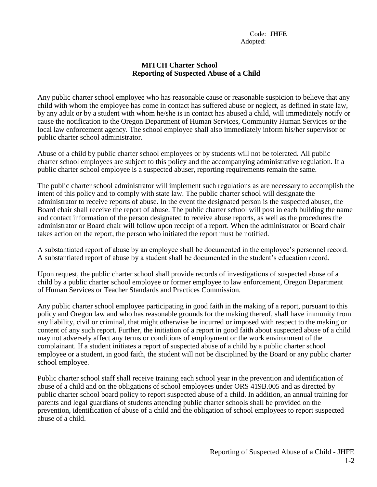## **MITCH Charter School Reporting of Suspected Abuse of a Child**

Any public charter school employee who has reasonable cause or reasonable suspicion to believe that any child with whom the employee has come in contact has suffered abuse or neglect, as defined in state law, by any adult or by a student with whom he/she is in contact has abused a child, will immediately notify or cause the notification to the Oregon Department of Human Services, Community Human Services or the local law enforcement agency. The school employee shall also immediately inform his/her supervisor or public charter school administrator.

Abuse of a child by public charter school employees or by students will not be tolerated. All public charter school employees are subject to this policy and the accompanying administrative regulation. If a public charter school employee is a suspected abuser, reporting requirements remain the same.

The public charter school administrator will implement such regulations as are necessary to accomplish the intent of this policy and to comply with state law. The public charter school will designate the administrator to receive reports of abuse. In the event the designated person is the suspected abuser, the Board chair shall receive the report of abuse. The public charter school will post in each building the name and contact information of the person designated to receive abuse reports, as well as the procedures the administrator or Board chair will follow upon receipt of a report. When the administrator or Board chair takes action on the report, the person who initiated the report must be notified.

A substantiated report of abuse by an employee shall be documented in the employee's personnel record. A substantiated report of abuse by a student shall be documented in the student's education record.

Upon request, the public charter school shall provide records of investigations of suspected abuse of a child by a public charter school employee or former employee to law enforcement, Oregon Department of Human Services or Teacher Standards and Practices Commission.

Any public charter school employee participating in good faith in the making of a report, pursuant to this policy and Oregon law and who has reasonable grounds for the making thereof, shall have immunity from any liability, civil or criminal, that might otherwise be incurred or imposed with respect to the making or content of any such report. Further, the initiation of a report in good faith about suspected abuse of a child may not adversely affect any terms or conditions of employment or the work environment of the complainant. If a student initiates a report of suspected abuse of a child by a public charter school employee or a student, in good faith, the student will not be disciplined by the Board or any public charter school employee.

Public charter school staff shall receive training each school year in the prevention and identification of abuse of a child and on the obligations of school employees under ORS 419B.005 and as directed by public charter school board policy to report suspected abuse of a child. In addition, an annual training for parents and legal guardians of students attending public charter schools shall be provided on the prevention, identification of abuse of a child and the obligation of school employees to report suspected abuse of a child.